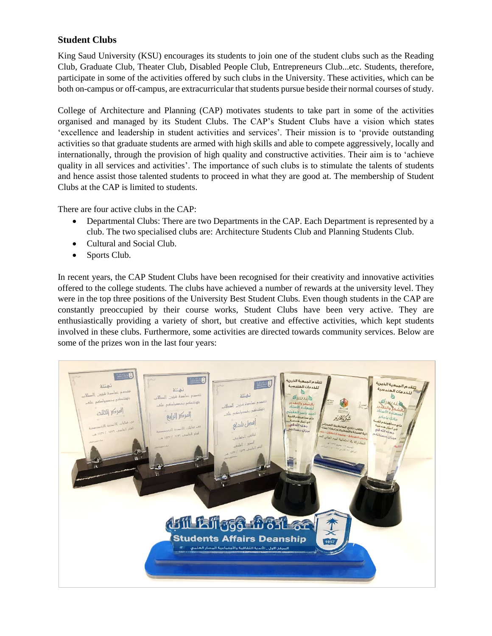## **Student Clubs**

King Saud University (KSU) encourages its students to join one of the student clubs such as the Reading Club, Graduate Club, Theater Club, Disabled People Club, Entrepreneurs Club...etc. Students, therefore, participate in some of the activities offered by such clubs in the University. These activities, which can be both on-campus or off-campus, are extracurricular that students pursue beside their normal courses of study.

College of Architecture and Planning (CAP) motivates students to take part in some of the activities organised and managed by its Student Clubs. The CAP's Student Clubs have a vision which states 'excellence and leadership in student activities and services'. Their mission is to 'provide outstanding activities so that graduate students are armed with high skills and able to compete aggressively, locally and internationally, through the provision of high quality and constructive activities. Their aim is to 'achieve quality in all services and activities'. The importance of such clubs is to stimulate the talents of students and hence assist those talented students to proceed in what they are good at. The membership of Student Clubs at the CAP is limited to students.

There are four active clubs in the CAP:

- Departmental Clubs: There are two Departments in the CAP. Each Department is represented by a club. The two specialised clubs are: Architecture Students Club and Planning Students Club.
- Cultural and Social Club.
- Sports Club.

In recent years, the CAP Student Clubs have been recognised for their creativity and innovative activities offered to the college students. The clubs have achieved a number of rewards at the university level. They were in the top three positions of the University Best Student Clubs. Even though students in the CAP are constantly preoccupied by their course works, Student Clubs have been very active. They are enthusiastically providing a variety of short, but creative and effective activities, which kept students involved in these clubs. Furthermore, some activities are directed towards community services. Below are some of the prizes won in the last four years: